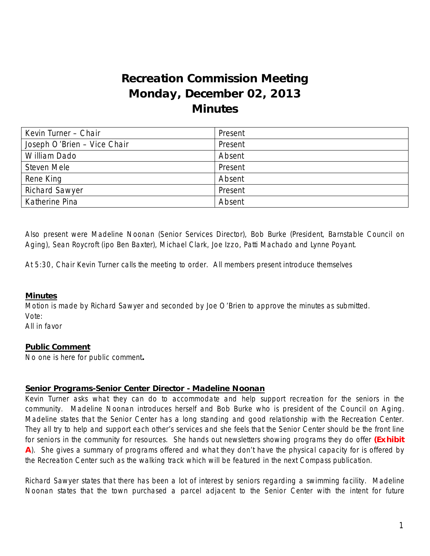# **Recreation Commission Meeting Monday, December 02, 2013 Minutes**

| Kevin Turner - Chair        | Present |
|-----------------------------|---------|
| Joseph O'Brien - Vice Chair | Present |
| William Dado                | Absent  |
| Steven Mele                 | Present |
| Rene King                   | Absent  |
| <b>Richard Sawyer</b>       | Present |
| Katherine Pina              | Absent  |

Also present were Madeline Noonan (Senior Services Director), Bob Burke (President, Barnstable Council on Aging), Sean Roycroft (ipo Ben Baxter), Michael Clark, Joe Izzo, Patti Machado and Lynne Poyant.

At 5:30, Chair Kevin Turner calls the meeting to order. All members present introduce themselves

#### **Minutes**

Motion is made by Richard Sawyer and seconded by Joe O'Brien to approve the minutes as submitted. Vote:

All in favor

#### **Public Comment**

No one is here for public comment**.** 

#### **Senior Programs-Senior Center Director - Madeline Noonan**

Kevin Turner asks what they can do to accommodate and help support recreation for the seniors in the community. Madeline Noonan introduces herself and Bob Burke who is president of the Council on Aging. Madeline states that the Senior Center has a long standing and good relationship with the Recreation Center. They all try to help and support each other's services and she feels that the Senior Center should be the front line for seniors in the community for resources. She hands out newsletters showing programs they do offer **(Exhibit A**). She gives a summary of programs offered and what they don't have the physical capacity for is offered by the Recreation Center such as the walking track which will be featured in the next Compass publication.

Richard Sawyer states that there has been a lot of interest by seniors regarding a swimming facility. Madeline Noonan states that the town purchased a parcel adjacent to the Senior Center with the intent for future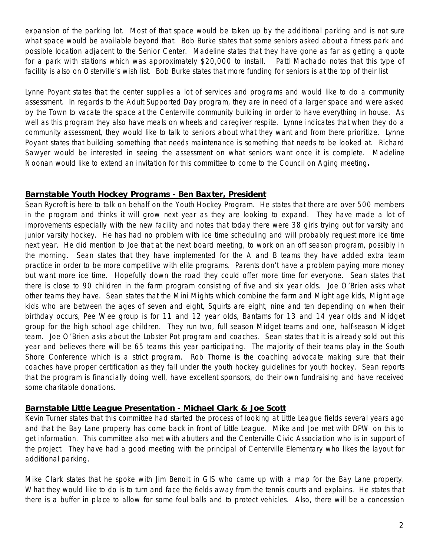expansion of the parking lot. Most of that space would be taken up by the additional parking and is not sure what space would be available beyond that. Bob Burke states that some seniors asked about a fitness park and possible location adjacent to the Senior Center. Madeline states that they have gone as far as getting a quote for a park with stations which was approximately \$20,000 to install. Patti Machado notes that this type of facility is also on Osterville's wish list. Bob Burke states that more funding for seniors is at the top of their list

Lynne Poyant states that the center supplies a lot of services and programs and would like to do a community assessment. In regards to the Adult Supported Day program, they are in need of a larger space and were asked by the Town to vacate the space at the Centerville community building in order to have everything in house. As well as this program they also have meals on wheels and caregiver respite. Lynne indicates that when they do a community assessment, they would like to talk to seniors about what they want and from there prioritize. Lynne Poyant states that building something that needs maintenance is something that needs to be looked at. Richard Sawyer would be interested in seeing the assessment on what seniors want once it is complete. Madeline Noonan would like to extend an invitation for this committee to come to the Council on Aging meeting**.** 

### **Barnstable Youth Hockey Programs - Ben Baxter, President**

Sean Rycroft is here to talk on behalf on the Youth Hockey Program. He states that there are over 500 members in the program and thinks it will grow next year as they are looking to expand. They have made a lot of improvements especially with the new facility and notes that today there were 38 girls trying out for varsity and junior varsity hockey. He has had no problem with ice time scheduling and will probably request more ice time next year. He did mention to Joe that at the next board meeting, to work on an off season program, possibly in the morning. Sean states that they have implemented for the A and B teams they have added extra team practice in order to be more competitive with elite programs. Parents don't have a problem paying more money but want more ice time. Hopefully down the road they could offer more time for everyone. Sean states that there is close to 90 children in the farm program consisting of five and six year olds. Joe O'Brien asks what other teams they have. Sean states that the Mini Mights which combine the farm and Might age kids, Might age kids who are between the ages of seven and eight, Squirts are eight, nine and ten depending on when their birthday occurs, Pee Wee group is for 11 and 12 year olds, Bantams for 13 and 14 year olds and Midget group for the high school age children. They run two, full season Midget teams and one, half-season Midget team. Joe O'Brien asks about the Lobster Pot program and coaches. Sean states that it is already sold out this year and believes there will be 65 teams this year participating. The majority of their teams play in the South Shore Conference which is a strict program. Rob Thorne is the coaching advocate making sure that their coaches have proper certification as they fall under the youth hockey guidelines for youth hockey. Sean reports that the program is financially doing well, have excellent sponsors, do their own fundraising and have received some charitable donations.

# **Barnstable Little League Presentation - Michael Clark & Joe Scott**

Kevin Turner states that this committee had started the process of looking at Little League fields several years ago and that the Bay Lane property has come back in front of Little League. Mike and Joe met with DPW on this to get information. This committee also met with abutters and the Centerville Civic Association who is in support of the project. They have had a good meeting with the principal of Centerville Elementary who likes the layout for additional parking.

Mike Clark states that he spoke with Jim Benoit in GIS who came up with a map for the Bay Lane property. What they would like to do is to turn and face the fields away from the tennis courts and explains. He states that there is a buffer in place to allow for some foul balls and to protect vehicles. Also, there will be a concession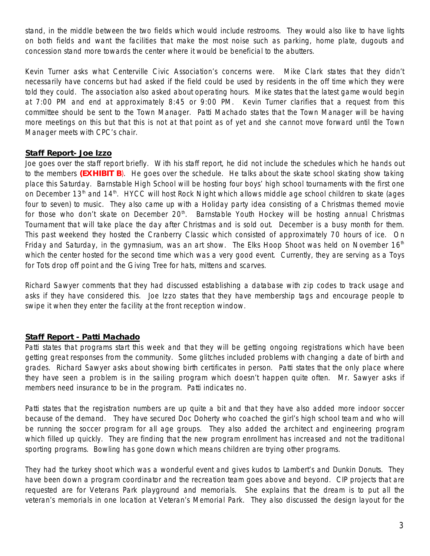stand, in the middle between the two fields which would include restrooms. They would also like to have lights on both fields and want the facilities that make the most noise such as parking, home plate, dugouts and concession stand more towards the center where it would be beneficial to the abutters.

Kevin Turner asks what Centerville Civic Association's concerns were. Mike Clark states that they didn't necessarily have concerns but had asked if the field could be used by residents in the off time which they were told they could. The association also asked about operating hours. Mike states that the latest game would begin at 7:00 PM and end at approximately 8:45 or 9:00 PM. Kevin Turner clarifies that a request from this committee should be sent to the Town Manager. Patti Machado states that the Town Manager will be having more meetings on this but that this is not at that point as of yet and she cannot move forward until the Town Manager meets with CPC's chair.

## **Staff Report- Joe Izzo**

Joe goes over the staff report briefly. With his staff report, he did not include the schedules which he hands out to the members **(EXHIBIT B**). He goes over the schedule. He talks about the skate school skating show taking place this Saturday. Barnstable High School will be hosting four boys' high school tournaments with the first one on December 13<sup>th</sup> and 14<sup>th</sup>. HYCC will host Rock Night which allows middle age school children to skate (ages four to seven) to music. They also came up with a Holiday party idea consisting of a Christmas themed movie for those who don't skate on December 20<sup>th</sup>. Barnstable Youth Hockey will be hosting annual Christmas Tournament that will take place the day after Christmas and is sold out. December is a busy month for them. This past weekend they hosted the Cranberry Classic which consisted of approximately 70 hours of ice. On Friday and Saturday, in the gymnasium, was an art show. The Elks Hoop Shoot was held on November  $16<sup>th</sup>$ which the center hosted for the second time which was a very good event. Currently, they are serving as a *Toys for Tots* drop off point and the *Giving Tree* for hats, mittens and scarves.

Richard Sawyer comments that they had discussed establishing a database with zip codes to track usage and asks if they have considered this. Joe Izzo states that they have membership tags and encourage people to swipe it when they enter the facility at the front reception window.

# **Staff Report - Patti Machado**

Patti states that programs start this week and that they will be getting ongoing registrations which have been getting great responses from the community. Some glitches included problems with changing a date of birth and grades. Richard Sawyer asks about showing birth certificates in person. Patti states that the only place where they have seen a problem is in the sailing program which doesn't happen quite often. Mr. Sawyer asks if members need insurance to be in the program. Patti indicates no.

Patti states that the registration numbers are up quite a bit and that they have also added more indoor soccer because of the demand. They have secured Doc Doherty who coached the girl's high school team and who will be running the soccer program for all age groups. They also added the architect and engineering program which filled up quickly. They are finding that the new program enrollment has increased and not the traditional sporting programs. Bowling has gone down which means children are trying other programs.

They had the turkey shoot which was a wonderful event and gives kudos to Lambert's and Dunkin Donuts. They have been down a program coordinator and the recreation team goes above and beyond. CIP projects that are requested are for Veterans Park playground and memorials. She explains that the dream is to put all the veteran's memorials in one location at Veteran's Memorial Park. They also discussed the design layout for the